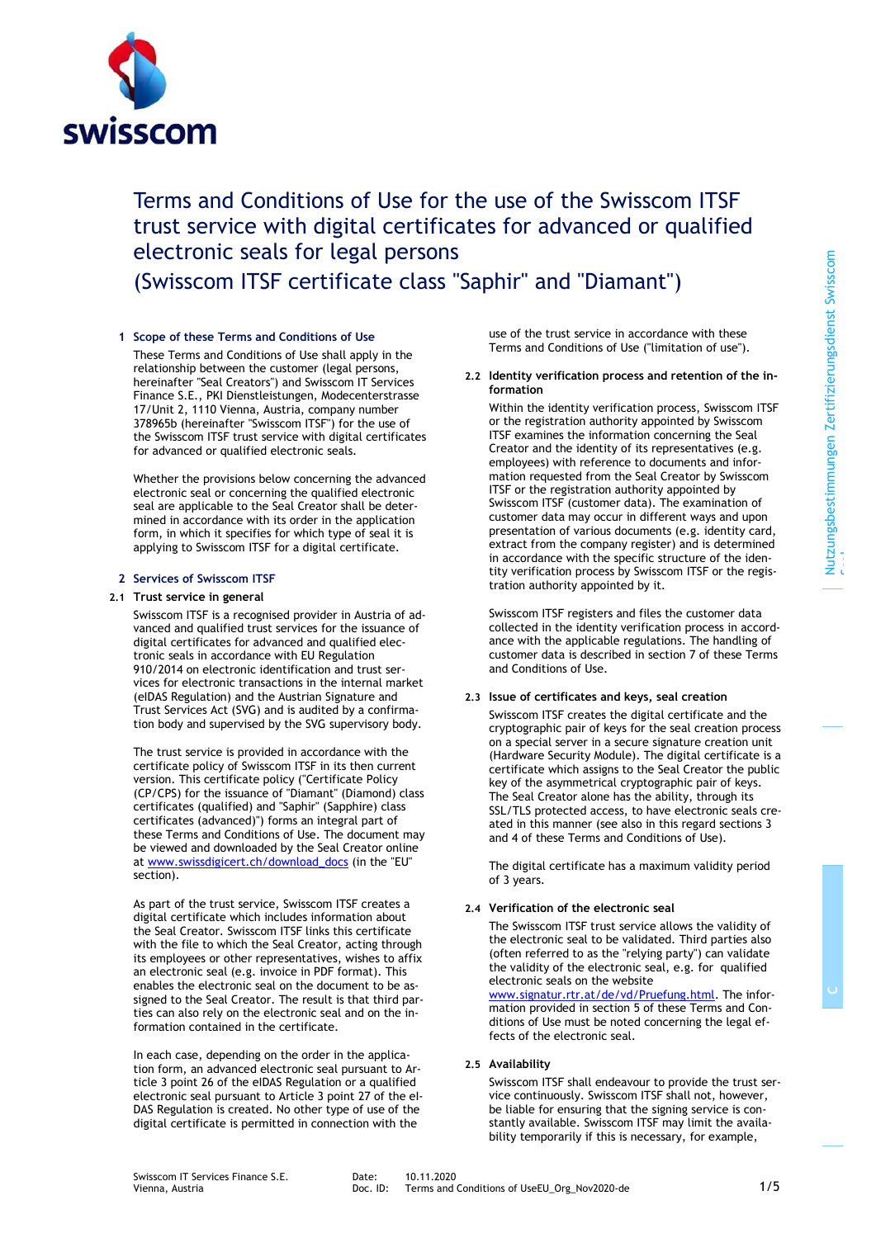

# Terms and Conditions of Use for the use of the Swisscom ITSF trust service with digital certificates for advanced or qualified electronic seals for legal persons

(Swisscom ITSF certificate class "Saphir" and "Diamant")

## **1 Scope of these Terms and Conditions of Use**

These Terms and Conditions of Use shall apply in the relationship between the customer (legal persons, hereinafter "Seal Creators") and Swisscom IT Services Finance S.E., PKI Dienstleistungen, Modecenterstrasse 17/Unit 2, 1110 Vienna, Austria, company number 378965b (hereinafter "Swisscom ITSF") for the use of the Swisscom ITSF trust service with digital certificates for advanced or qualified electronic seals.

Whether the provisions below concerning the advanced electronic seal or concerning the qualified electronic seal are applicable to the Seal Creator shall be determined in accordance with its order in the application form, in which it specifies for which type of seal it is applying to Swisscom ITSF for a digital certificate.

#### **2 Services of Swisscom ITSF**

#### **2.1 Trust service in general**

Swisscom ITSF is a recognised provider in Austria of advanced and qualified trust services for the issuance of digital certificates for advanced and qualified electronic seals in accordance with EU Regulation 910/2014 on electronic identification and trust services for electronic transactions in the internal market (eIDAS Regulation) and the Austrian Signature and Trust Services Act (SVG) and is audited by a confirmation body and supervised by the SVG supervisory body.

The trust service is provided in accordance with the certificate policy of Swisscom ITSF in its then current version. This certificate policy ("Certificate Policy (CP/CPS) for the issuance of "Diamant" (Diamond) class certificates (qualified) and "Saphir" (Sapphire) class certificates (advanced)") forms an integral part of these Terms and Conditions of Use. The document may be viewed and downloaded by the Seal Creator online a[t www.swissdigicert.ch/download\\_docs](http://www.swissdigicert.ch/download_docs) (in the "EU" section).

As part of the trust service, Swisscom ITSF creates a digital certificate which includes information about the Seal Creator. Swisscom ITSF links this certificate with the file to which the Seal Creator, acting through its employees or other representatives, wishes to affix an electronic seal (e.g. invoice in PDF format). This enables the electronic seal on the document to be assigned to the Seal Creator. The result is that third parties can also rely on the electronic seal and on the information contained in the certificate.

In each case, depending on the order in the application form, an advanced electronic seal pursuant to Article 3 point 26 of the eIDAS Regulation or a qualified electronic seal pursuant to Article 3 point 27 of the eI-DAS Regulation is created. No other type of use of the digital certificate is permitted in connection with the

use of the trust service in accordance with these Terms and Conditions of Use ("limitation of use").

#### <span id="page-0-0"></span>**2.2 Identity verification process and retention of the information**

Within the identity verification process, Swisscom ITSF or the registration authority appointed by Swisscom ITSF examines the information concerning the Seal Creator and the identity of its representatives (e.g. employees) with reference to documents and information requested from the Seal Creator by Swisscom ITSF or the registration authority appointed by Swisscom ITSF (customer data). The examination of customer data may occur in different ways and upon presentation of various documents (e.g. identity card, extract from the company register) and is determined in accordance with the specific structure of the identity verification process by Swisscom ITSF or the registration authority appointed by it.

Swisscom ITSF registers and files the customer data collected in the identity verification process in accordance with the applicable regulations. The handling of customer data is described in section 7 of these Terms and Conditions of Use.

# **2.3 Issue of certificates and keys, seal creation**

Swisscom ITSF creates the digital certificate and the cryptographic pair of keys for the seal creation process on a special server in a secure signature creation unit (Hardware Security Module). The digital certificate is a certificate which assigns to the Seal Creator the public key of the asymmetrical cryptographic pair of keys. The Seal Creator alone has the ability, through its SSL/TLS protected access, to have electronic seals created in this manner (see also in this regard sections 3 and 4 of these Terms and Conditions of Use).

The digital certificate has a maximum validity period of 3 years.

# **2.4 Verification of the electronic seal**

<span id="page-0-1"></span>The Swisscom ITSF trust service allows the validity of the electronic seal to be validated. Third parties also (often referred to as the "relying party") can validate the validity of the electronic seal, e.g. for qualified electronic seals on the website [www.signatur.rtr.at/de/vd/Pruefung.html.](http://www.signatur.rtr.at/de/vd/Pruefung.html) The information provided in section 5 of these Terms and Conditions of Use must be noted concerning the legal effects of the electronic seal.

# **2.5 Availability**

Swisscom ITSF shall endeavour to provide the trust service continuously. Swisscom ITSF shall not, however, be liable for ensuring that the signing service is constantly available. Swisscom ITSF may limit the availability temporarily if this is necessary, for example,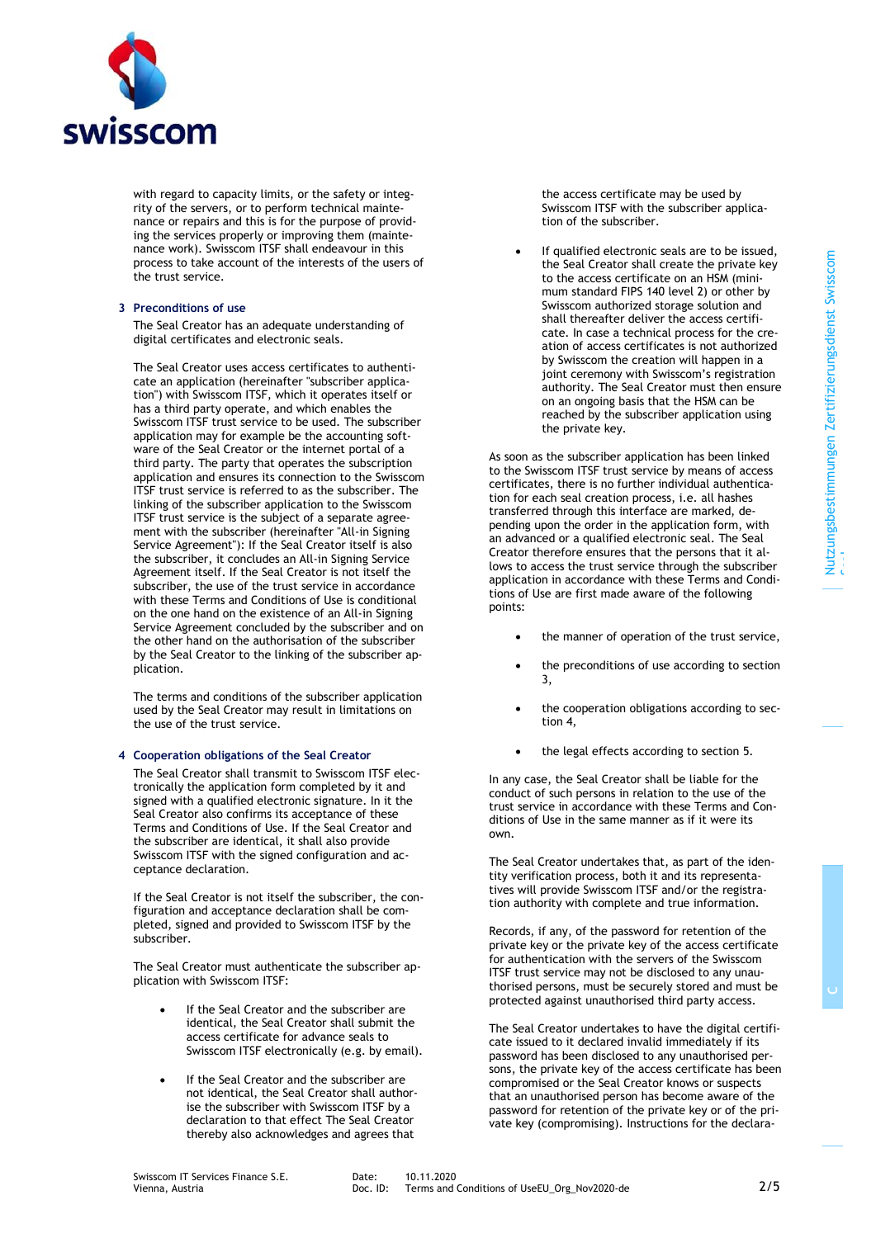

with regard to capacity limits, or the safety or integrity of the servers, or to perform technical maintenance or repairs and this is for the purpose of providing the services properly or improving them (maintenance work). Swisscom ITSF shall endeavour in this process to take account of the interests of the users of the trust service.

## <span id="page-1-0"></span>**3 Preconditions of use**

The Seal Creator has an adequate understanding of digital certificates and electronic seals.

The Seal Creator uses access certificates to authenticate an application (hereinafter "subscriber application") with Swisscom ITSF, which it operates itself or has a third party operate, and which enables the Swisscom ITSF trust service to be used. The subscriber application may for example be the accounting software of the Seal Creator or the internet portal of a third party. The party that operates the subscription application and ensures its connection to the Swisscom ITSF trust service is referred to as the subscriber. The linking of the subscriber application to the Swisscom ITSF trust service is the subject of a separate agreement with the subscriber (hereinafter "All-in Signing Service Agreement"): If the Seal Creator itself is also the subscriber, it concludes an All-in Signing Service Agreement itself. If the Seal Creator is not itself the subscriber, the use of the trust service in accordance with these Terms and Conditions of Use is conditional on the one hand on the existence of an All-in Signing Service Agreement concluded by the subscriber and on the other hand on the authorisation of the subscriber by the Seal Creator to the linking of the subscriber application.

The terms and conditions of the subscriber application used by the Seal Creator may result in limitations on the use of the trust service.

## <span id="page-1-1"></span>**4 Cooperation obligations of the Seal Creator**

The Seal Creator shall transmit to Swisscom ITSF electronically the application form completed by it and signed with a qualified electronic signature. In it the Seal Creator also confirms its acceptance of these Terms and Conditions of Use. If the Seal Creator and the subscriber are identical, it shall also provide Swisscom ITSF with the signed configuration and acceptance declaration.

If the Seal Creator is not itself the subscriber, the configuration and acceptance declaration shall be completed, signed and provided to Swisscom ITSF by the subscriber.

The Seal Creator must authenticate the subscriber application with Swisscom ITSF:

- If the Seal Creator and the subscriber are identical, the Seal Creator shall submit the access certificate for advance seals to Swisscom ITSF electronically (e.g. by email).
- If the Seal Creator and the subscriber are not identical, the Seal Creator shall authorise the subscriber with Swisscom ITSF by a declaration to that effect The Seal Creator thereby also acknowledges and agrees that

the access certificate may be used by Swisscom ITSF with the subscriber application of the subscriber.

If qualified electronic seals are to be issued, the Seal Creator shall create the private key to the access certificate on an HSM (minimum standard FIPS 140 level 2) or other by Swisscom authorized storage solution and shall thereafter deliver the access certificate. In case a technical process for the creation of access certificates is not authorized by Swisscom the creation will happen in a joint ceremony with Swisscom's registration authority. The Seal Creator must then ensure on an ongoing basis that the HSM can be reached by the subscriber application using the private key.

As soon as the subscriber application has been linked to the Swisscom ITSF trust service by means of access certificates, there is no further individual authentication for each seal creation process, i.e. all hashes transferred through this interface are marked, depending upon the order in the application form, with an advanced or a qualified electronic seal. The Seal Creator therefore ensures that the persons that it allows to access the trust service through the subscriber application in accordance with these Terms and Conditions of Use are first made aware of the following points:

- the manner of operation of the trust service,
	- the preconditions of use according to section [3,](#page-1-0)
- the cooperation obligations according to section [4,](#page-1-1)
- the legal effects according to section [5.](#page-2-0)

In any case, the Seal Creator shall be liable for the conduct of such persons in relation to the use of the trust service in accordance with these Terms and Conditions of Use in the same manner as if it were its own.

The Seal Creator undertakes that, as part of the identity verification process, both it and its representatives will provide Swisscom ITSF and/or the registration authority with complete and true information.

Records, if any, of the password for retention of the private key or the private key of the access certificate for authentication with the servers of the Swisscom ITSF trust service may not be disclosed to any unauthorised persons, must be securely stored and must be protected against unauthorised third party access.

The Seal Creator undertakes to have the digital certificate issued to it declared invalid immediately if its password has been disclosed to any unauthorised persons, the private key of the access certificate has been compromised or the Seal Creator knows or suspects that an unauthorised person has become aware of the password for retention of the private key or of the private key (compromising). Instructions for the declara**C**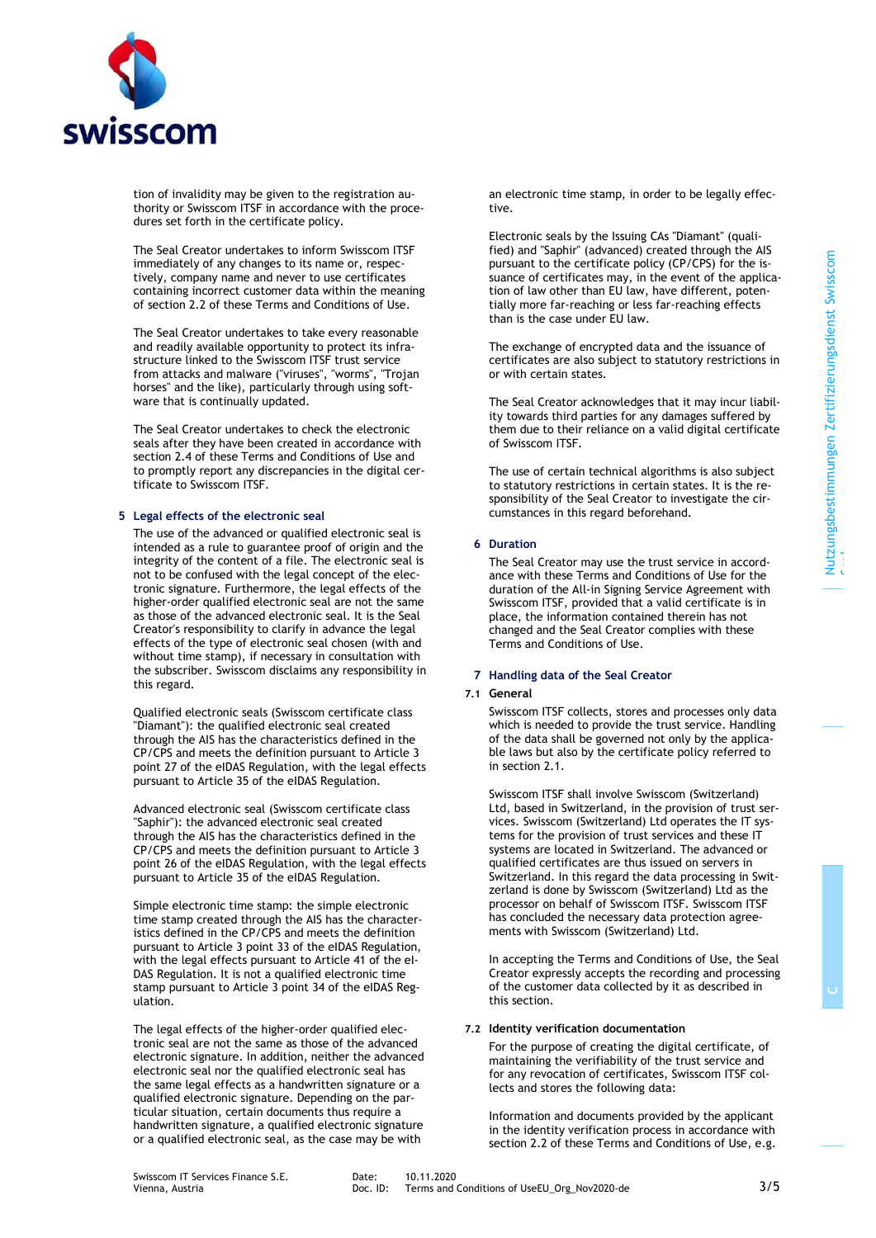

tion of invalidity may be given to the registration authority or Swisscom ITSF in accordance with the procedures set forth in the certificate policy.

The Seal Creator undertakes to inform Swisscom ITSF immediately of any changes to its name or, respectively, company name and never to use certificates containing incorrect customer data within the meaning of sectio[n 2.2](#page-0-0) of these Terms and Conditions of Use.

The Seal Creator undertakes to take every reasonable and readily available opportunity to protect its infrastructure linked to the Swisscom ITSF trust service from attacks and malware ("viruses", "worms", "Trojan horses" and the like), particularly through using software that is continually updated.

The Seal Creator undertakes to check the electronic seals after they have been created in accordance with section [2.4](#page-0-1) of these Terms and Conditions of Use and to promptly report any discrepancies in the digital certificate to Swisscom ITSF.

#### <span id="page-2-0"></span>**5 Legal effects of the electronic seal**

The use of the advanced or qualified electronic seal is intended as a rule to guarantee proof of origin and the integrity of the content of a file. The electronic seal is not to be confused with the legal concept of the electronic signature. Furthermore, the legal effects of the higher-order qualified electronic seal are not the same as those of the advanced electronic seal. It is the Seal Creator's responsibility to clarify in advance the legal effects of the type of electronic seal chosen (with and without time stamp), if necessary in consultation with the subscriber. Swisscom disclaims any responsibility in this regard.

Qualified electronic seals (Swisscom certificate class "Diamant"): the qualified electronic seal created through the AIS has the characteristics defined in the CP/CPS and meets the definition pursuant to Article 3 point 27 of the eIDAS Regulation, with the legal effects pursuant to Article 35 of the eIDAS Regulation.

Advanced electronic seal (Swisscom certificate class "Saphir"): the advanced electronic seal created through the AIS has the characteristics defined in the CP/CPS and meets the definition pursuant to Article 3 point 26 of the eIDAS Regulation, with the legal effects pursuant to Article 35 of the eIDAS Regulation.

Simple electronic time stamp: the simple electronic time stamp created through the AIS has the characteristics defined in the CP/CPS and meets the definition pursuant to Article 3 point 33 of the eIDAS Regulation, with the legal effects pursuant to Article 41 of the eI-DAS Regulation. It is not a qualified electronic time stamp pursuant to Article 3 point 34 of the eIDAS Regulation.

The legal effects of the higher-order qualified electronic seal are not the same as those of the advanced electronic signature. In addition, neither the advanced electronic seal nor the qualified electronic seal has the same legal effects as a handwritten signature or a qualified electronic signature. Depending on the particular situation, certain documents thus require a handwritten signature, a qualified electronic signature or a qualified electronic seal, as the case may be with

an electronic time stamp, in order to be legally effective.

Electronic seals by the Issuing CAs "Diamant" (qualified) and "Saphir" (advanced) created through the AIS pursuant to the certificate policy (CP/CPS) for the issuance of certificates may, in the event of the application of law other than EU law, have different, potentially more far-reaching or less far-reaching effects than is the case under EU law.

The exchange of encrypted data and the issuance of certificates are also subject to statutory restrictions in or with certain states.

The Seal Creator acknowledges that it may incur liability towards third parties for any damages suffered by them due to their reliance on a valid digital certificate of Swisscom ITSF.

The use of certain technical algorithms is also subject to statutory restrictions in certain states. It is the responsibility of the Seal Creator to investigate the circumstances in this regard beforehand.

## **6 Duration**

The Seal Creator may use the trust service in accordance with these Terms and Conditions of Use for the duration of the All-in Signing Service Agreement with Swisscom ITSF, provided that a valid certificate is in place, the information contained therein has not changed and the Seal Creator complies with these Terms and Conditions of Use.

#### **7 Handling data of the Seal Creator**

#### **7.1 General**

Swisscom ITSF collects, stores and processes only data which is needed to provide the trust service. Handling of the data shall be governed not only by the applicable laws but also by the certificate policy referred to in section 2.1.

Swisscom ITSF shall involve Swisscom (Switzerland) Ltd, based in Switzerland, in the provision of trust services. Swisscom (Switzerland) Ltd operates the IT systems for the provision of trust services and these IT systems are located in Switzerland. The advanced or qualified certificates are thus issued on servers in Switzerland. In this regard the data processing in Switzerland is done by Swisscom (Switzerland) Ltd as the processor on behalf of Swisscom ITSF. Swisscom ITSF has concluded the necessary data protection agreements with Swisscom (Switzerland) Ltd.

In accepting the Terms and Conditions of Use, the Seal Creator expressly accepts the recording and processing of the customer data collected by it as described in this section.

#### **7.2 Identity verification documentation**

For the purpose of creating the digital certificate, of maintaining the verifiability of the trust service and for any revocation of certificates, Swisscom ITSF collects and stores the following data:

Information and documents provided by the applicant in the identity verification process in accordance with section 2.2 of these Terms and Conditions of Use, e.g.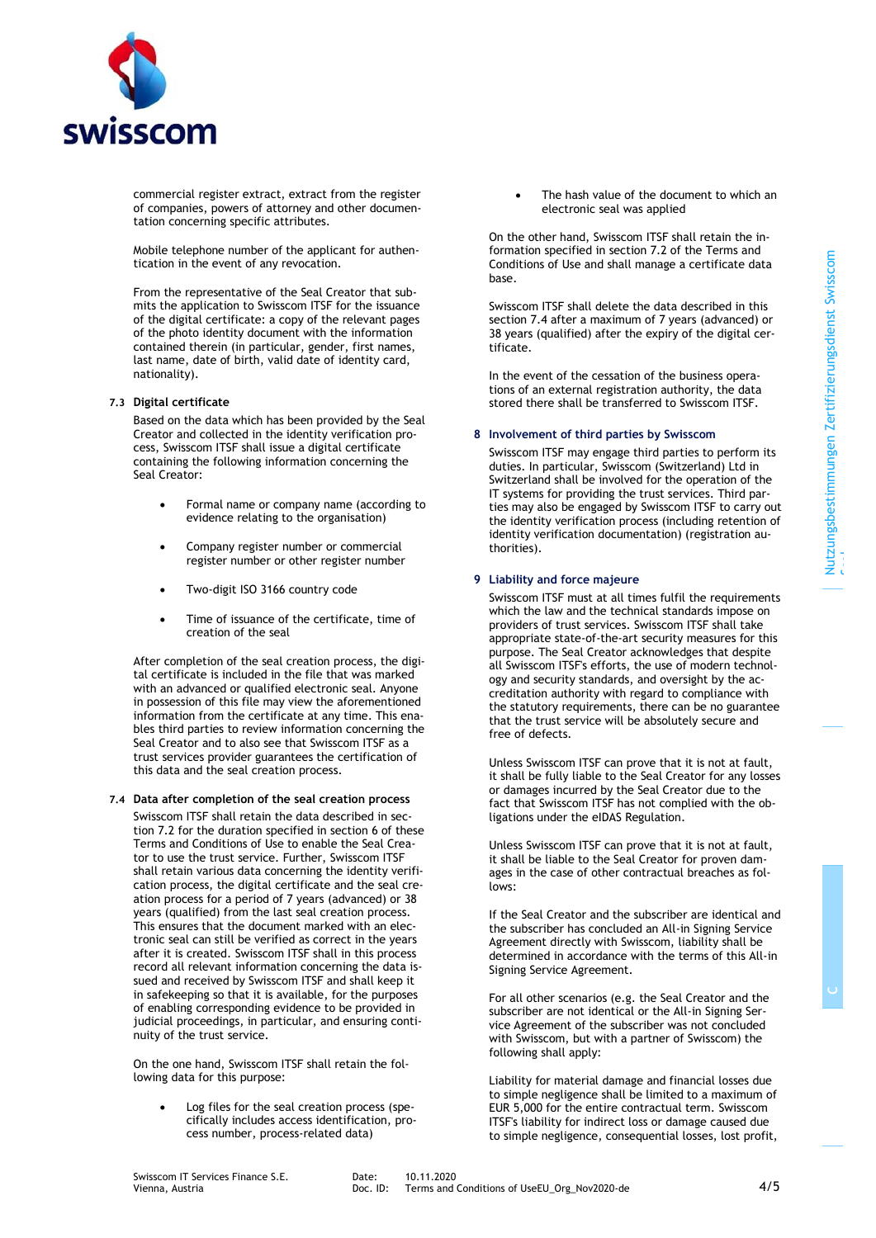

commercial register extract, extract from the register of companies, powers of attorney and other documentation concerning specific attributes.

Mobile telephone number of the applicant for authentication in the event of any revocation.

From the representative of the Seal Creator that submits the application to Swisscom ITSF for the issuance of the digital certificate: a copy of the relevant pages of the photo identity document with the information contained therein (in particular, gender, first names, last name, date of birth, valid date of identity card, nationality).

#### **7.3 Digital certificate**

Based on the data which has been provided by the Seal Creator and collected in the identity verification process, Swisscom ITSF shall issue a digital certificate containing the following information concerning the Seal Creator:

- Formal name or company name (according to evidence relating to the organisation)
- Company register number or commercial register number or other register number
- Two-digit ISO 3166 country code
- Time of issuance of the certificate, time of creation of the seal

After completion of the seal creation process, the digital certificate is included in the file that was marked with an advanced or qualified electronic seal. Anyone in possession of this file may view the aforementioned information from the certificate at any time. This enables third parties to review information concerning the Seal Creator and to also see that Swisscom ITSF as a trust services provider guarantees the certification of this data and the seal creation process.

## **7.4 Data after completion of the seal creation process**

Swisscom ITSF shall retain the data described in section 7.2 for the duration specified in section 6 of these Terms and Conditions of Use to enable the Seal Creator to use the trust service. Further, Swisscom ITSF shall retain various data concerning the identity verification process, the digital certificate and the seal creation process for a period of 7 years (advanced) or 38 years (qualified) from the last seal creation process. This ensures that the document marked with an electronic seal can still be verified as correct in the years after it is created. Swisscom ITSF shall in this process record all relevant information concerning the data issued and received by Swisscom ITSF and shall keep it in safekeeping so that it is available, for the purposes of enabling corresponding evidence to be provided in judicial proceedings, in particular, and ensuring continuity of the trust service.

On the one hand, Swisscom ITSF shall retain the following data for this purpose:

• Log files for the seal creation process (specifically includes access identification, process number, process-related data)

The hash value of the document to which an electronic seal was applied

On the other hand, Swisscom ITSF shall retain the information specified in section 7.2 of the Terms and Conditions of Use and shall manage a certificate data base.

Swisscom ITSF shall delete the data described in this section 7.4 after a maximum of 7 years (advanced) or 38 years (qualified) after the expiry of the digital certificate.

In the event of the cessation of the business operations of an external registration authority, the data stored there shall be transferred to Swisscom ITSF.

## **8 Involvement of third parties by Swisscom**

Swisscom ITSF may engage third parties to perform its duties. In particular, Swisscom (Switzerland) Ltd in Switzerland shall be involved for the operation of the IT systems for providing the trust services. Third parties may also be engaged by Swisscom ITSF to carry out the identity verification process (including retention of identity verification documentation) (registration authorities).

## **9 Liability and force majeure**

Swisscom ITSF must at all times fulfil the requirements which the law and the technical standards impose on providers of trust services. Swisscom ITSF shall take appropriate state-of-the-art security measures for this purpose. The Seal Creator acknowledges that despite all Swisscom ITSF's efforts, the use of modern technology and security standards, and oversight by the accreditation authority with regard to compliance with the statutory requirements, there can be no guarantee that the trust service will be absolutely secure and free of defects.

Unless Swisscom ITSF can prove that it is not at fault, it shall be fully liable to the Seal Creator for any losses or damages incurred by the Seal Creator due to the fact that Swisscom ITSF has not complied with the obligations under the eIDAS Regulation.

Unless Swisscom ITSF can prove that it is not at fault, it shall be liable to the Seal Creator for proven damages in the case of other contractual breaches as follows:

If the Seal Creator and the subscriber are identical and the subscriber has concluded an All-in Signing Service Agreement directly with Swisscom, liability shall be determined in accordance with the terms of this All-in Signing Service Agreement.

For all other scenarios (e.g. the Seal Creator and the subscriber are not identical or the All-in Signing Service Agreement of the subscriber was not concluded with Swisscom, but with a partner of Swisscom) the following shall apply:

Liability for material damage and financial losses due to simple negligence shall be limited to a maximum of EUR 5,000 for the entire contractual term. Swisscom ITSF's liability for indirect loss or damage caused due to simple negligence, consequential losses, lost profit,

**C**